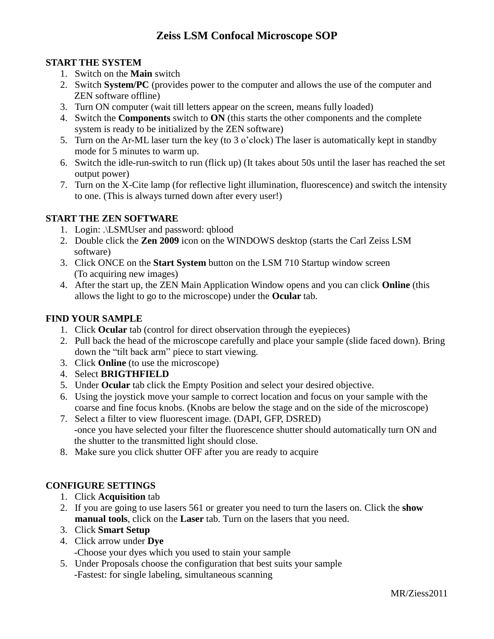### **START THE SYSTEM**

- 1. Switch on the **Main** switch
- 2. Switch **System/PC** (provides power to the computer and allows the use of the computer and ZEN software offline)
- 3. Turn ON computer (wait till letters appear on the screen, means fully loaded)
- 4. Switch the **Components** switch to **ON** (this starts the other components and the complete system is ready to be initialized by the ZEN software)
- 5. Turn on the Ar-ML laser turn the key (to 3 o'clock) The laser is automatically kept in standby mode for 5 minutes to warm up.
- 6. Switch the idle-run-switch to run (flick up) (It takes about 50s until the laser has reached the set output power)
- 7. Turn on the X-Cite lamp (for reflective light illumination, fluorescence) and switch the intensity to one. (This is always turned down after every user!)

#### **START THE ZEN SOFTWARE**

- 1. Login: .\LSMUser and password: qblood
- 2. Double click the **Zen 2009** icon on the WINDOWS desktop (starts the Carl Zeiss LSM software)
- 3. Click ONCE on the **Start System** button on the LSM 710 Startup window screen (To acquiring new images)
- 4. After the start up, the ZEN Main Application Window opens and you can click **Online** (this allows the light to go to the microscope) under the **Ocular** tab.

#### **FIND YOUR SAMPLE**

- 1. Click **Ocular** tab (control for direct observation through the eyepieces)
- 2. Pull back the head of the microscope carefully and place your sample (slide faced down). Bring down the "tilt back arm" piece to start viewing.
- 3. Click **Online** (to use the microscope)
- 4. Select **BRIGTHFIELD**
- 5. Under **Ocular** tab click the Empty Position and select your desired objective.
- 6. Using the joystick move your sample to correct location and focus on your sample with the coarse and fine focus knobs. (Knobs are below the stage and on the side of the microscope)
- 7. Select a filter to view fluorescent image. (DAPI, GFP, DSRED) -once you have selected your filter the fluorescence shutter should automatically turn ON and the shutter to the transmitted light should close.
- 8. Make sure you click shutter OFF after you are ready to acquire

### **CONFIGURE SETTINGS**

- 1. Click **Acquisition** tab
- 2. If you are going to use lasers 561 or greater you need to turn the lasers on. Click the **show manual tools**, click on the **Laser** tab. Turn on the lasers that you need.
- 3. Click **Smart Setup**
- 4. Click arrow under **Dye** -Choose your dyes which you used to stain your sample
- 5. Under Proposals choose the configuration that best suits your sample -Fastest: for single labeling, simultaneous scanning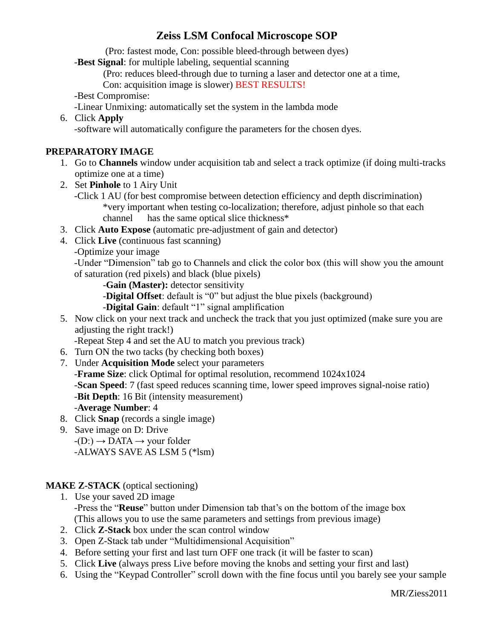(Pro: fastest mode, Con: possible bleed-through between dyes)

-**Best Signal**: for multiple labeling, sequential scanning

(Pro: reduces bleed-through due to turning a laser and detector one at a time,

Con: acquisition image is slower) BEST RESULTS!

-Best Compromise:

- -Linear Unmixing: automatically set the system in the lambda mode
- 6. Click **Apply** -software will automatically configure the parameters for the chosen dyes.

#### **PREPARATORY IMAGE**

- 1. Go to **Channels** window under acquisition tab and select a track optimize (if doing multi-tracks optimize one at a time)
- 2. Set **Pinhole** to 1 Airy Unit
	- -Click 1 AU (for best compromise between detection efficiency and depth discrimination) \*very important when testing co-localization; therefore, adjust pinhole so that each channel has the same optical slice thickness\*
- 3. Click **Auto Expose** (automatic pre-adjustment of gain and detector)
- 4. Click **Live** (continuous fast scanning)
	- -Optimize your image

-Under "Dimension" tab go to Channels and click the color box (this will show you the amount of saturation (red pixels) and black (blue pixels)

-**Gain (Master):** detector sensitivity

-**Digital Offset**: default is "0" but adjust the blue pixels (background)

-**Digital Gain**: default "1" signal amplification

5. Now click on your next track and uncheck the track that you just optimized (make sure you are adjusting the right track!)

-Repeat Step 4 and set the AU to match you previous track)

- 6. Turn ON the two tacks (by checking both boxes)
- 7. Under **Acquisition Mode** select your parameters -**Frame Size**: click Optimal for optimal resolution, recommend 1024x1024 -**Scan Speed**: 7 (fast speed reduces scanning time, lower speed improves signal-noise ratio) -**Bit Depth**: 16 Bit (intensity measurement) -**Average Number**: 4
- 8. Click **Snap** (records a single image)
- 9. Save image on D: Drive  $-I(D) \rightarrow DATA \rightarrow your folder$ -ALWAYS SAVE AS LSM 5 (\*lsm)

### **MAKE Z-STACK** (optical sectioning)

- 1. Use your saved 2D image -Press the "**Reuse**" button under Dimension tab that's on the bottom of the image box (This allows you to use the same parameters and settings from previous image)
- 2. Click **Z-Stack** box under the scan control window
- 3. Open Z-Stack tab under "Multidimensional Acquisition"
- 4. Before setting your first and last turn OFF one track (it will be faster to scan)
- 5. Click **Live** (always press Live before moving the knobs and setting your first and last)
- 6. Using the "Keypad Controller" scroll down with the fine focus until you barely see your sample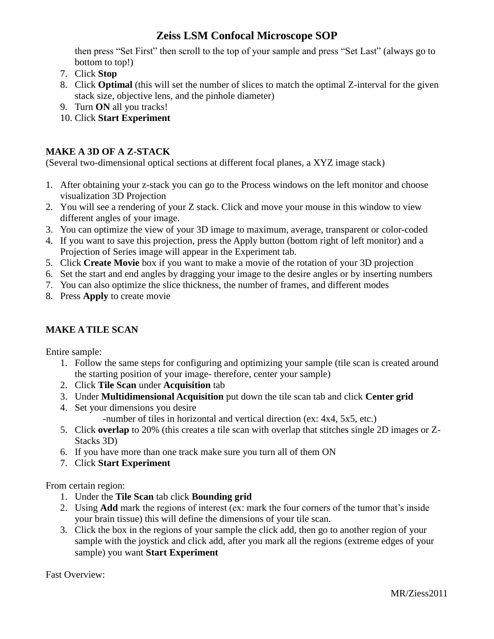then press "Set First" then scroll to the top of your sample and press "Set Last" (always go to bottom to top!)

- 7. Click **Stop**
- 8. Click **Optimal** (this will set the number of slices to match the optimal Z-interval for the given stack size, objective lens, and the pinhole diameter)
- 9. Turn **ON** all you tracks!
- 10. Click **Start Experiment**

#### **MAKE A 3D OF A Z-STACK**

(Several two-dimensional optical sections at different focal planes, a XYZ image stack)

- 1. After obtaining your z-stack you can go to the Process windows on the left monitor and choose visualization 3D Projection
- 2. You will see a rendering of your Z stack. Click and move your mouse in this window to view different angles of your image.
- 3. You can optimize the view of your 3D image to maximum, average, transparent or color-coded
- 4. If you want to save this projection, press the Apply button (bottom right of left monitor) and a Projection of Series image will appear in the Experiment tab.
- 5. Click **Create Movie** box if you want to make a movie of the rotation of your 3D projection
- 6. Set the start and end angles by dragging your image to the desire angles or by inserting numbers
- 7. You can also optimize the slice thickness, the number of frames, and different modes
- 8. Press **Apply** to create movie

#### **MAKE A TILE SCAN**

Entire sample:

- 1. Follow the same steps for configuring and optimizing your sample (tile scan is created around the starting position of your image- therefore, center your sample)
- 2. Click **Tile Scan** under **Acquisition** tab
- 3. Under **Multidimensional Acquisition** put down the tile scan tab and click **Center grid**
- 4. Set your dimensions you desire -number of tiles in horizontal and vertical direction (ex: 4x4, 5x5, etc.)
- 5. Click **overlap** to 20% (this creates a tile scan with overlap that stitches single 2D images or Z-Stacks 3D)
- 6. If you have more than one track make sure you turn all of them ON
- 7. Click **Start Experiment**

From certain region:

- 1. Under the **Tile Scan** tab click **Bounding grid**
- 2. Using **Add** mark the regions of interest (ex: mark the four corners of the tumor that's inside your brain tissue) this will define the dimensions of your tile scan.
- 3. Click the box in the regions of your sample the click add, then go to another region of your sample with the joystick and click add, after you mark all the regions (extreme edges of your sample) you want **Start Experiment**

Fast Overview: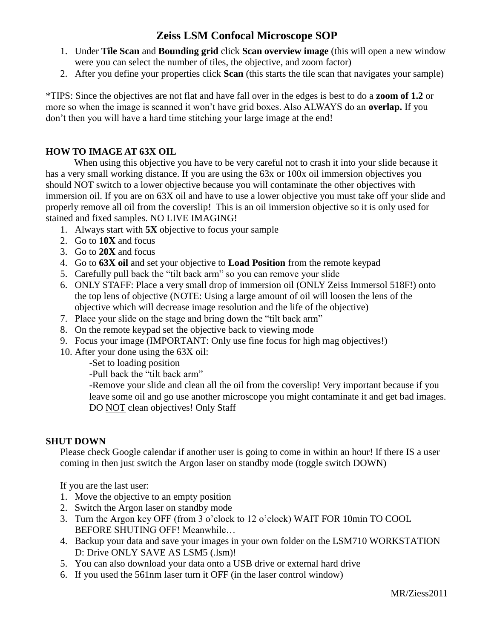- 1. Under **Tile Scan** and **Bounding grid** click **Scan overview image** (this will open a new window were you can select the number of tiles, the objective, and zoom factor)
- 2. After you define your properties click **Scan** (this starts the tile scan that navigates your sample)

\*TIPS: Since the objectives are not flat and have fall over in the edges is best to do a **zoom of 1.2** or more so when the image is scanned it won't have grid boxes. Also ALWAYS do an **overlap.** If you don't then you will have a hard time stitching your large image at the end!

#### **HOW TO IMAGE AT 63X OIL**

When using this objective you have to be very careful not to crash it into your slide because it has a very small working distance. If you are using the 63x or 100x oil immersion objectives you should NOT switch to a lower objective because you will contaminate the other objectives with immersion oil. If you are on 63X oil and have to use a lower objective you must take off your slide and properly remove all oil from the coverslip! This is an oil immersion objective so it is only used for stained and fixed samples. NO LIVE IMAGING!

- 1. Always start with **5X** objective to focus your sample
- 2. Go to **10X** and focus
- 3. Go to **20X** and focus
- 4. Go to **63X oil** and set your objective to **Load Position** from the remote keypad
- 5. Carefully pull back the "tilt back arm" so you can remove your slide
- 6. ONLY STAFF: Place a very small drop of immersion oil (ONLY Zeiss Immersol 518F!) onto the top lens of objective (NOTE: Using a large amount of oil will loosen the lens of the objective which will decrease image resolution and the life of the objective)
- 7. Place your slide on the stage and bring down the "tilt back arm"
- 8. On the remote keypad set the objective back to viewing mode
- 9. Focus your image (IMPORTANT: Only use fine focus for high mag objectives!)
- 10. After your done using the 63X oil:
	- -Set to loading position

-Pull back the "tilt back arm"

-Remove your slide and clean all the oil from the coverslip! Very important because if you leave some oil and go use another microscope you might contaminate it and get bad images. DO NOT clean objectives! Only Staff

#### **SHUT DOWN**

Please check Google calendar if another user is going to come in within an hour! If there IS a user coming in then just switch the Argon laser on standby mode (toggle switch DOWN)

If you are the last user:

- 1. Move the objective to an empty position
- 2. Switch the Argon laser on standby mode
- 3. Turn the Argon key OFF (from 3 o'clock to 12 o'clock) WAIT FOR 10min TO COOL BEFORE SHUTING OFF! Meanwhile…
- 4. Backup your data and save your images in your own folder on the LSM710 WORKSTATION D: Drive ONLY SAVE AS LSM5 (.lsm)!
- 5. You can also download your data onto a USB drive or external hard drive
- 6. If you used the 561nm laser turn it OFF (in the laser control window)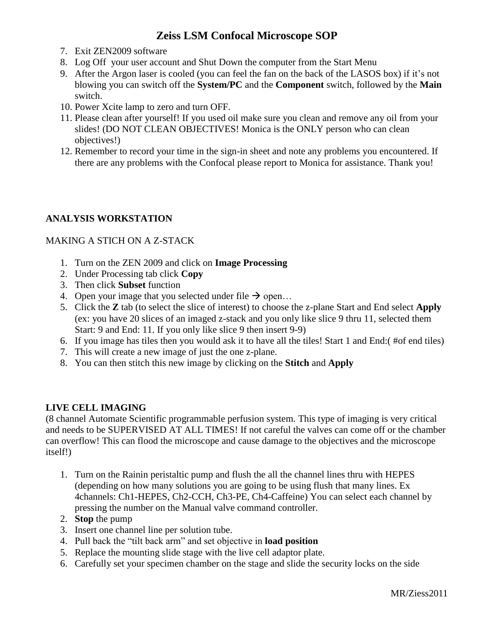- 7. Exit ZEN2009 software
- 8. Log Off your user account and Shut Down the computer from the Start Menu
- 9. After the Argon laser is cooled (you can feel the fan on the back of the LASOS box) if it's not blowing you can switch off the **System/PC** and the **Component** switch, followed by the **Main**  switch.
- 10. Power Xcite lamp to zero and turn OFF.
- 11. Please clean after yourself! If you used oil make sure you clean and remove any oil from your slides! (DO NOT CLEAN OBJECTIVES! Monica is the ONLY person who can clean objectives!)
- 12. Remember to record your time in the sign-in sheet and note any problems you encountered. If there are any problems with the Confocal please report to Monica for assistance. Thank you!

#### **ANALYSIS WORKSTATION**

#### MAKING A STICH ON A Z-STACK

- 1. Turn on the ZEN 2009 and click on **Image Processing**
- 2. Under Processing tab click **Copy**
- 3. Then click **Subset** function
- 4. Open your image that you selected under file  $\rightarrow$  open...
- 5. Click the **Z** tab (to select the slice of interest) to choose the z-plane Start and End select **Apply**  (ex: you have 20 slices of an imaged z-stack and you only like slice 9 thru 11, selected them Start: 9 and End: 11. If you only like slice 9 then insert 9-9)
- 6. If you image has tiles then you would ask it to have all the tiles! Start 1 and End:( #of end tiles)
- 7. This will create a new image of just the one z-plane.
- 8. You can then stitch this new image by clicking on the **Stitch** and **Apply**

#### **LIVE CELL IMAGING**

(8 channel Automate Scientific programmable perfusion system. This type of imaging is very critical and needs to be SUPERVISED AT ALL TIMES! If not careful the valves can come off or the chamber can overflow! This can flood the microscope and cause damage to the objectives and the microscope itself!)

- 1. Turn on the Rainin peristaltic pump and flush the all the channel lines thru with HEPES (depending on how many solutions you are going to be using flush that many lines. Ex 4channels: Ch1-HEPES, Ch2-CCH, Ch3-PE, Ch4-Caffeine) You can select each channel by pressing the number on the Manual valve command controller.
- 2. **Stop** the pump
- 3. Insert one channel line per solution tube.
- 4. Pull back the "tilt back arm" and set objective in **load position**
- 5. Replace the mounting slide stage with the live cell adaptor plate.
- 6. Carefully set your specimen chamber on the stage and slide the security locks on the side